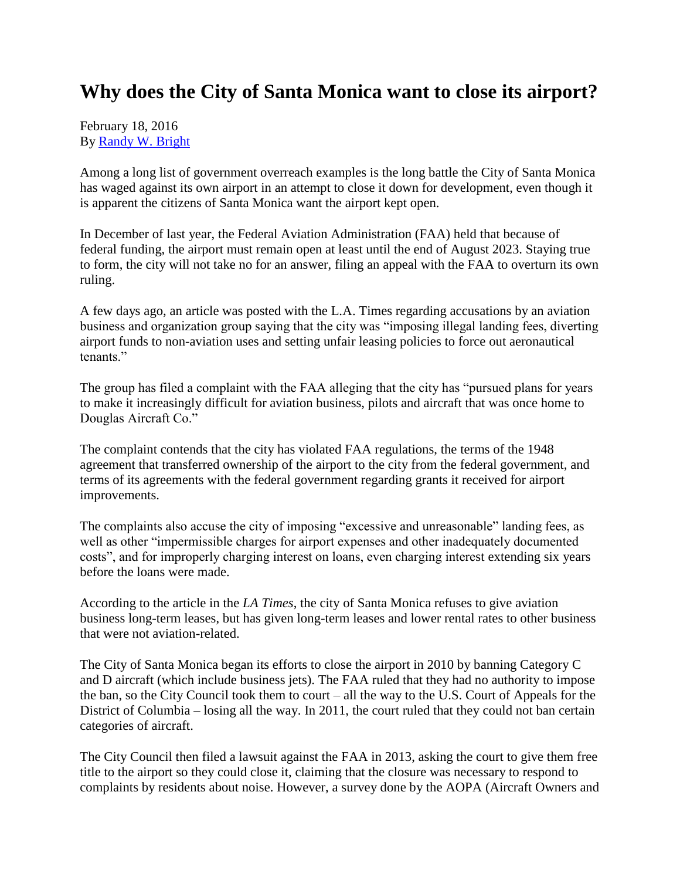## **Why does the City of Santa Monica want to close its airport?**

February 18, 2016 By [Randy W. Bright](http://www.tulsabeacon.com/author/slug-o6yd1v)

Among a long list of government overreach examples is the long battle the City of Santa Monica has waged against its own airport in an attempt to close it down for development, even though it is apparent the citizens of Santa Monica want the airport kept open.

In December of last year, the Federal Aviation Administration (FAA) held that because of federal funding, the airport must remain open at least until the end of August 2023. Staying true to form, the city will not take no for an answer, filing an appeal with the FAA to overturn its own ruling.

A few days ago, an article was posted with the L.A. Times regarding accusations by an aviation business and organization group saying that the city was "imposing illegal landing fees, diverting airport funds to non-aviation uses and setting unfair leasing policies to force out aeronautical tenants."

The group has filed a complaint with the FAA alleging that the city has "pursued plans for years to make it increasingly difficult for aviation business, pilots and aircraft that was once home to Douglas Aircraft Co."

The complaint contends that the city has violated FAA regulations, the terms of the 1948 agreement that transferred ownership of the airport to the city from the federal government, and terms of its agreements with the federal government regarding grants it received for airport improvements.

The complaints also accuse the city of imposing "excessive and unreasonable" landing fees, as well as other "impermissible charges for airport expenses and other inadequately documented costs", and for improperly charging interest on loans, even charging interest extending six years before the loans were made.

According to the article in the *LA Times*, the city of Santa Monica refuses to give aviation business long-term leases, but has given long-term leases and lower rental rates to other business that were not aviation-related.

The City of Santa Monica began its efforts to close the airport in 2010 by banning Category C and D aircraft (which include business jets). The FAA ruled that they had no authority to impose the ban, so the City Council took them to court – all the way to the U.S. Court of Appeals for the District of Columbia – losing all the way. In 2011, the court ruled that they could not ban certain categories of aircraft.

The City Council then filed a lawsuit against the FAA in 2013, asking the court to give them free title to the airport so they could close it, claiming that the closure was necessary to respond to complaints by residents about noise. However, a survey done by the AOPA (Aircraft Owners and